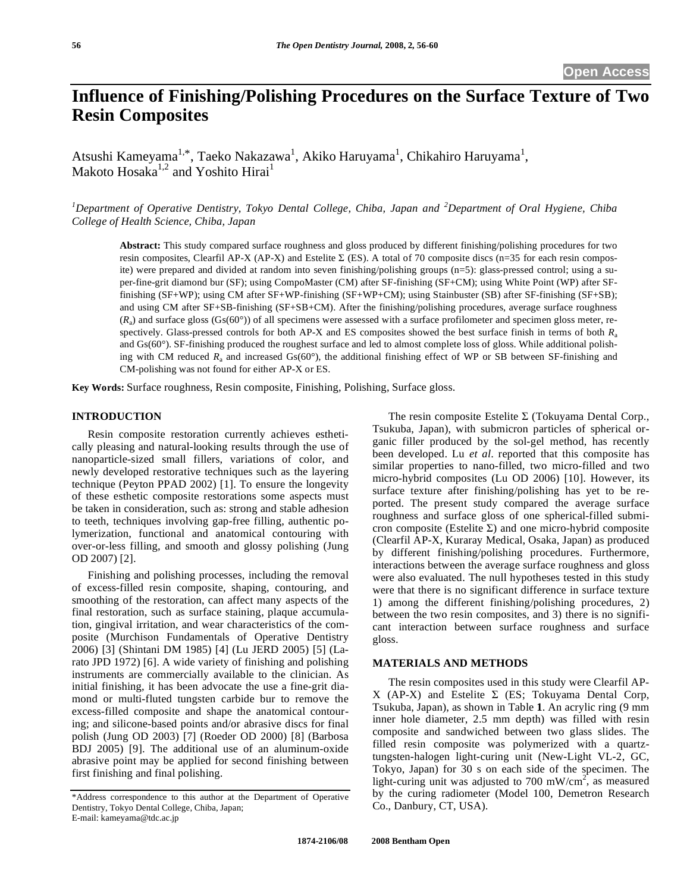# **Influence of Finishing/Polishing Procedures on the Surface Texture of Two Resin Composites**

Atsushi Kameyama<sup>1,\*</sup>, Taeko Nakazawa<sup>1</sup>, Akiko Haruyama<sup>1</sup>, Chikahiro Haruyama<sup>1</sup>, Makoto Hosaka<sup>1,2</sup> and Yoshito Hirai<sup>1</sup>

<sup>1</sup>Department of Operative Dentistry, Tokyo Dental College, Chiba, Japan and <sup>2</sup>Department of Oral Hygiene, Chiba *College of Health Science, Chiba, Japan* 

**Abstract:** This study compared surface roughness and gloss produced by different finishing/polishing procedures for two resin composites, Clearfil AP-X (AP-X) and Estelite  $\Sigma$  (ES). A total of 70 composite discs (n=35 for each resin composite) were prepared and divided at random into seven finishing/polishing groups (n=5): glass-pressed control; using a super-fine-grit diamond bur (SF); using CompoMaster (CM) after SF-finishing (SF+CM); using White Point (WP) after SFfinishing (SF+WP); using CM after SF+WP-finishing (SF+WP+CM); using Stainbuster (SB) after SF-finishing (SF+SB); and using CM after SF+SB-finishing (SF+SB+CM). After the finishing/polishing procedures, average surface roughness  $(R<sub>a</sub>)$  and surface gloss (Gs(60°)) of all specimens were assessed with a surface profilometer and specimen gloss meter, respectively. Glass-pressed controls for both AP-X and ES composites showed the best surface finish in terms of both  $R<sub>a</sub>$ and Gs(60°). SF-finishing produced the roughest surface and led to almost complete loss of gloss. While additional polishing with CM reduced  $R_a$  and increased  $Gs(60^\circ)$ , the additional finishing effect of WP or SB between SF-finishing and CM-polishing was not found for either AP-X or ES.

**Key Words:** Surface roughness, Resin composite, Finishing, Polishing, Surface gloss.

## **INTRODUCTION**

 Resin composite restoration currently achieves esthetically pleasing and natural-looking results through the use of nanoparticle-sized small fillers, variations of color, and newly developed restorative techniques such as the layering technique (Peyton PPAD 2002) [1]. To ensure the longevity of these esthetic composite restorations some aspects must be taken in consideration, such as: strong and stable adhesion to teeth, techniques involving gap-free filling, authentic polymerization, functional and anatomical contouring with over-or-less filling, and smooth and glossy polishing (Jung OD 2007) [2].

 Finishing and polishing processes, including the removal of excess-filled resin composite, shaping, contouring, and smoothing of the restoration, can affect many aspects of the final restoration, such as surface staining, plaque accumulation, gingival irritation, and wear characteristics of the composite (Murchison Fundamentals of Operative Dentistry 2006) [3] (Shintani DM 1985) [4] (Lu JERD 2005) [5] (Larato JPD 1972) [6]. A wide variety of finishing and polishing instruments are commercially available to the clinician. As initial finishing, it has been advocate the use a fine-grit diamond or multi-fluted tungsten carbide bur to remove the excess-filled composite and shape the anatomical contouring; and silicone-based points and/or abrasive discs for final polish (Jung OD 2003) [7] (Roeder OD 2000) [8] (Barbosa BDJ 2005) [9]. The additional use of an aluminum-oxide abrasive point may be applied for second finishing between first finishing and final polishing.

The resin composite Estelite  $\Sigma$  (Tokuyama Dental Corp., Tsukuba, Japan), with submicron particles of spherical organic filler produced by the sol-gel method, has recently been developed. Lu *et al*. reported that this composite has similar properties to nano-filled, two micro-filled and two micro-hybrid composites (Lu OD 2006) [10]. However, its surface texture after finishing/polishing has yet to be reported. The present study compared the average surface roughness and surface gloss of one spherical-filled submicron composite (Estelite  $\Sigma$ ) and one micro-hybrid composite (Clearfil AP-X, Kuraray Medical, Osaka, Japan) as produced by different finishing/polishing procedures. Furthermore, interactions between the average surface roughness and gloss were also evaluated. The null hypotheses tested in this study were that there is no significant difference in surface texture 1) among the different finishing/polishing procedures, 2) between the two resin composites, and 3) there is no significant interaction between surface roughness and surface gloss.

# **MATERIALS AND METHODS**

 The resin composites used in this study were Clearfil AP-X (AP-X) and Estelite  $\Sigma$  (ES; Tokuyama Dental Corp, Tsukuba, Japan), as shown in Table **1**. An acrylic ring (9 mm inner hole diameter, 2.5 mm depth) was filled with resin composite and sandwiched between two glass slides. The filled resin composite was polymerized with a quartztungsten-halogen light-curing unit (New-Light VL-2, GC, Tokyo, Japan) for 30 s on each side of the specimen. The light-curing unit was adjusted to 700 mW/cm<sup>2</sup>, as measured by the curing radiometer (Model 100, Demetron Research Co., Danbury, CT, USA).

<sup>\*</sup>Address correspondence to this author at the Department of Operative Dentistry, Tokyo Dental College, Chiba, Japan; E-mail: kameyama@tdc.ac.jp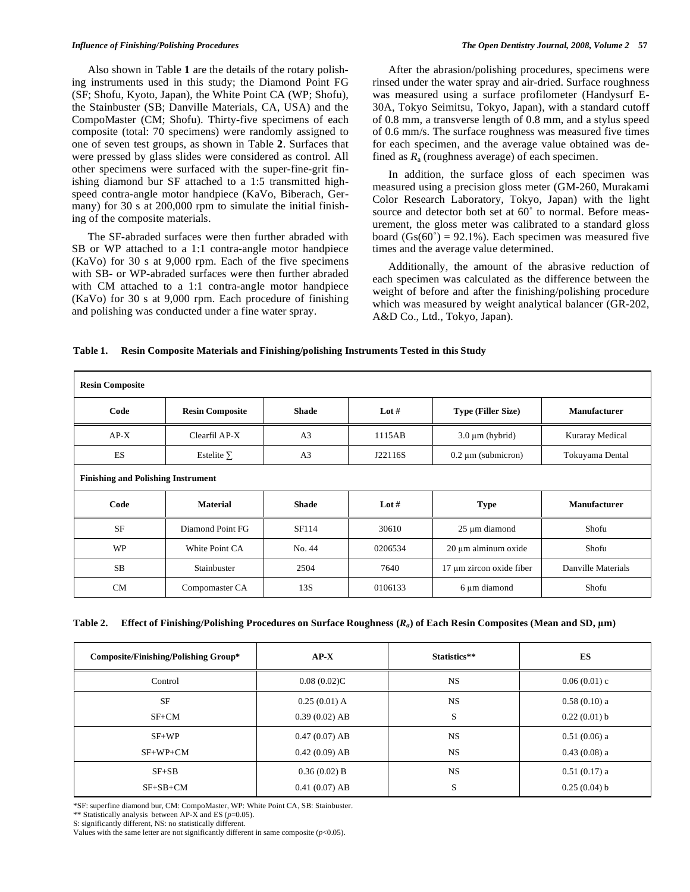Also shown in Table **1** are the details of the rotary polishing instruments used in this study; the Diamond Point FG (SF; Shofu, Kyoto, Japan), the White Point CA (WP; Shofu), the Stainbuster (SB; Danville Materials, CA, USA) and the CompoMaster (CM; Shofu). Thirty-five specimens of each composite (total: 70 specimens) were randomly assigned to one of seven test groups, as shown in Table **2**. Surfaces that were pressed by glass slides were considered as control. All other specimens were surfaced with the super-fine-grit finishing diamond bur SF attached to a 1:5 transmitted highspeed contra-angle motor handpiece (KaVo, Biberach, Germany) for 30 s at 200,000 rpm to simulate the initial finishing of the composite materials.

 The SF-abraded surfaces were then further abraded with SB or WP attached to a 1:1 contra-angle motor handpiece (KaVo) for 30 s at 9,000 rpm. Each of the five specimens with SB- or WP-abraded surfaces were then further abraded with CM attached to a 1:1 contra-angle motor handpiece (KaVo) for 30 s at 9,000 rpm. Each procedure of finishing and polishing was conducted under a fine water spray.

 After the abrasion/polishing procedures, specimens were rinsed under the water spray and air-dried. Surface roughness was measured using a surface profilometer (Handysurf E-30A, Tokyo Seimitsu, Tokyo, Japan), with a standard cutoff of 0.8 mm, a transverse length of 0.8 mm, and a stylus speed of 0.6 mm/s. The surface roughness was measured five times for each specimen, and the average value obtained was defined as  $R_a$  (roughness average) of each specimen.

 In addition, the surface gloss of each specimen was measured using a precision gloss meter (GM-260, Murakami Color Research Laboratory, Tokyo, Japan) with the light source and detector both set at  $60^{\circ}$  to normal. Before measurement, the gloss meter was calibrated to a standard gloss board  $(Gs(60°) = 92.1\%)$ . Each specimen was measured five times and the average value determined.

 Additionally, the amount of the abrasive reduction of each specimen was calculated as the difference between the weight of before and after the finishing/polishing procedure which was measured by weight analytical balancer (GR-202, A&D Co., Ltd., Tokyo, Japan).

## **Table 1. Resin Composite Materials and Finishing/polishing Instruments Tested in this Study**

| <b>Resin Composite</b>                    |                        |                |         |                           |                     |
|-------------------------------------------|------------------------|----------------|---------|---------------------------|---------------------|
| Code                                      | <b>Resin Composite</b> | <b>Shade</b>   | Lot $#$ | <b>Type (Filler Size)</b> | <b>Manufacturer</b> |
| $AP-X$                                    | Clearfil AP-X          | A <sub>3</sub> | 1115AB  | $3.0 \mu m$ (hybrid)      | Kuraray Medical     |
| ES                                        | Estelite $\Sigma$      | A <sub>3</sub> | J22116S | $0.2 \mu m$ (submicron)   | Tokuyama Dental     |
| <b>Finishing and Polishing Instrument</b> |                        |                |         |                           |                     |
| Code                                      | <b>Material</b>        | <b>Shade</b>   | Lot $#$ | <b>Type</b>               | <b>Manufacturer</b> |
| <b>SF</b>                                 | Diamond Point FG       | SF114          | 30610   | 25 µm diamond             | Shofu               |
| <b>WP</b>                                 | White Point CA         | No. 44         | 0206534 | 20 μm alminum oxide       | Shofu               |
| SB                                        | Stainbuster            | 2504           | 7640    | 17 μm zircon oxide fiber  | Danville Materials  |
| <b>CM</b>                                 | Compomaster CA         | 13S            | 0106133 | 6 µm diamond              | Shofu               |

|  |  |  |  | Table 2. Effect of Finishing/Polishing Procedures on Surface Roughness $(R_a)$ of Each Resin Composites (Mean and SD, $\mu$ m) |
|--|--|--|--|--------------------------------------------------------------------------------------------------------------------------------|
|--|--|--|--|--------------------------------------------------------------------------------------------------------------------------------|

| <b>Composite/Finishing/Polishing Group*</b> | $AP-X$          | Statistics** | ES             |
|---------------------------------------------|-----------------|--------------|----------------|
| Control                                     | 0.08(0.02)C     | NS.          | $0.06(0.01)$ c |
| <b>SF</b>                                   | $0.25(0.01)$ A  | <b>NS</b>    | $0.58(0.10)$ a |
| $SF+CM$                                     | $0.39(0.02)$ AB | S            | 0.22(0.01) b   |
| $SF+WP$                                     | $0.47(0.07)$ AB | <b>NS</b>    | $0.51(0.06)$ a |
| $SF+WP+CM$                                  | $0.42(0.09)$ AB | <b>NS</b>    | $0.43(0.08)$ a |
| $SF+SB$                                     | $0.36(0.02)$ B  | <b>NS</b>    | $0.51(0.17)$ a |
| $SF+SB+CM$                                  | $0.41(0.07)$ AB | S            | $0.25(0.04)$ b |

\*SF: superfine diamond bur, CM: CompoMaster, WP: White Point CA, SB: Stainbuster.

\*\* Statistically analysis between AP-X and ES (*p*=0.05).

S: significantly different, NS: no statistically different.

Values with the same letter are not significantly different in same composite  $(p<0.05)$ .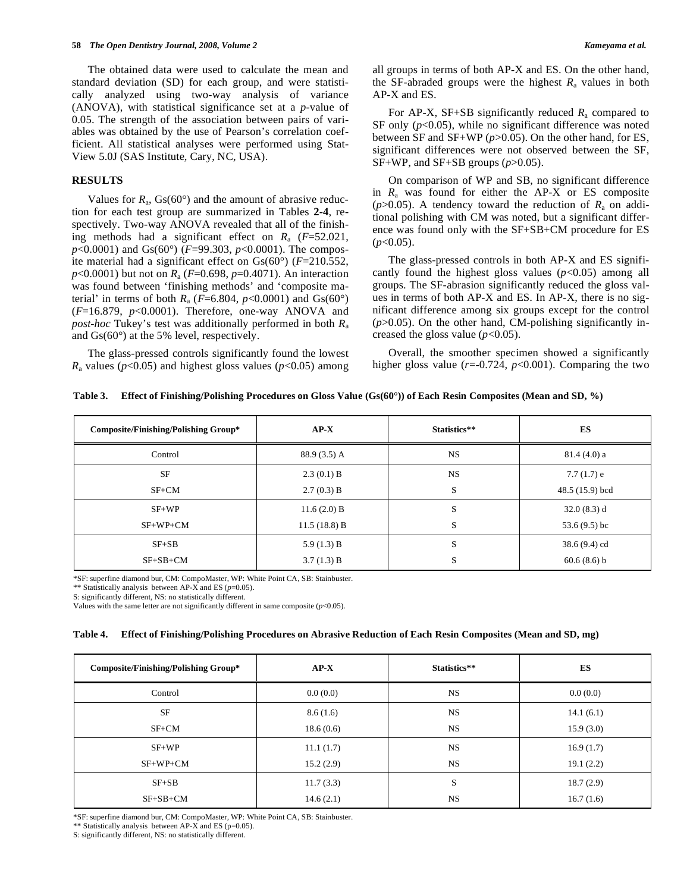The obtained data were used to calculate the mean and standard deviation (SD) for each group, and were statistically analyzed using two-way analysis of variance (ANOVA), with statistical significance set at a *p*-value of 0.05. The strength of the association between pairs of variables was obtained by the use of Pearson's correlation coefficient. All statistical analyses were performed using Stat-View 5.0J (SAS Institute, Cary, NC, USA).

# **RESULTS**

Values for  $R_a$ ,  $Gs(60^\circ)$  and the amount of abrasive reduction for each test group are summarized in Tables **2-4**, respectively. Two-way ANOVA revealed that all of the finishing methods had a significant effect on *R*a (*F*=52.021, *p*<0.0001) and Gs(60°) (*F*=99.303, *p*<0.0001). The composite material had a significant effect on Gs(60°) (*F*=210.552, *p*<0.0001) but not on *R*a (*F*=0.698, *p*=0.4071). An interaction was found between 'finishing methods' and 'composite material' in terms of both  $R_a$  ( $F=6.804$ ,  $p<0.0001$ ) and  $Gs(60^\circ)$ (*F*=16.879, *p*<0.0001). Therefore, one-way ANOVA and *post-hoc* Tukey's test was additionally performed in both *R*<sup>a</sup> and Gs(60°) at the 5% level, respectively.

 The glass-pressed controls significantly found the lowest  $R_a$  values ( $p$ <0.05) and highest gloss values ( $p$ <0.05) among

For AP-X, SF+SB significantly reduced  $R_a$  compared to SF only (*p*<0.05), while no significant difference was noted between SF and SF+WP (*p*>0.05). On the other hand, for ES, significant differences were not observed between the SF, SF+WP, and SF+SB groups  $(p>0.05)$ .

 On comparison of WP and SB, no significant difference in  $R_a$  was found for either the AP-X or ES composite ( $p > 0.05$ ). A tendency toward the reduction of  $R_a$  on additional polishing with CM was noted, but a significant difference was found only with the SF+SB+CM procedure for ES (*p*<0.05).

 The glass-pressed controls in both AP-X and ES significantly found the highest gloss values  $(p<0.05)$  among all groups. The SF-abrasion significantly reduced the gloss values in terms of both AP-X and ES. In AP-X, there is no significant difference among six groups except for the control (*p*>0.05). On the other hand, CM-polishing significantly increased the gloss value  $(p<0.05)$ .

 Overall, the smoother specimen showed a significantly higher gloss value  $(r=0.724, p<0.001)$ . Comparing the two

|  |  |  |  | Table 3. Effect of Finishing/Polishing Procedures on Gloss Value $(Gs(60^{\circ}))$ of Each Resin Composites (Mean and SD, %) |
|--|--|--|--|-------------------------------------------------------------------------------------------------------------------------------|
|--|--|--|--|-------------------------------------------------------------------------------------------------------------------------------|

| <b>Composite/Finishing/Polishing Group*</b> | $AP-X$        | Statistics** | ES              |
|---------------------------------------------|---------------|--------------|-----------------|
| Control                                     | 88.9 (3.5) A  | <b>NS</b>    | 81.4(4.0) a     |
| <b>SF</b>                                   | 2.3(0.1) B    | <b>NS</b>    | $7.7(1.7)$ e    |
| $SF+CM$                                     | 2.7(0.3) B    | S            | 48.5 (15.9) bcd |
| $SF+WP$                                     | $11.6(2.0)$ B | S            | $32.0(8.3)$ d   |
| $SF+WP+CM$                                  | 11.5(18.8) B  | S            | 53.6 $(9.5)$ bc |
| $SF + SB$                                   | 5.9 $(1.3)$ B | S            | $38.6(9.4)$ cd  |
| $SF+SB+CM$                                  | 3.7(1.3) B    | S            | $60.6(8.6)$ b   |

\*SF: superfine diamond bur, CM: CompoMaster, WP: White Point CA, SB: Stainbuster.

\*\* Statistically analysis between AP-X and ES (*p*=0.05).

S: significantly different, NS: no statistically different.

Values with the same letter are not significantly different in same composite  $(p<0.05)$ .

#### **Table 4. Effect of Finishing/Polishing Procedures on Abrasive Reduction of Each Resin Composites (Mean and SD, mg)**

| <b>Composite/Finishing/Polishing Group*</b> | $AP-X$    | Statistics** | <b>ES</b> |
|---------------------------------------------|-----------|--------------|-----------|
| Control                                     | 0.0(0.0)  | <b>NS</b>    | 0.0(0.0)  |
| SF                                          | 8.6(1.6)  | <b>NS</b>    | 14.1(6.1) |
| $SF+CM$                                     | 18.6(0.6) | <b>NS</b>    | 15.9(3.0) |
| $SF+WP$                                     | 11.1(1.7) | <b>NS</b>    | 16.9(1.7) |
| $SF+WP+CM$                                  | 15.2(2.9) | <b>NS</b>    | 19.1(2.2) |
| $SF + SB$                                   | 11.7(3.3) | S            | 18.7(2.9) |
| $SF+SB+CM$                                  | 14.6(2.1) | NS           | 16.7(1.6) |

\*SF: superfine diamond bur, CM: CompoMaster, WP: White Point CA, SB: Stainbuster.

<sup>\*\*</sup> Statistically analysis between AP-X and ES (p=0.05).

S: significantly different, NS: no statistically different.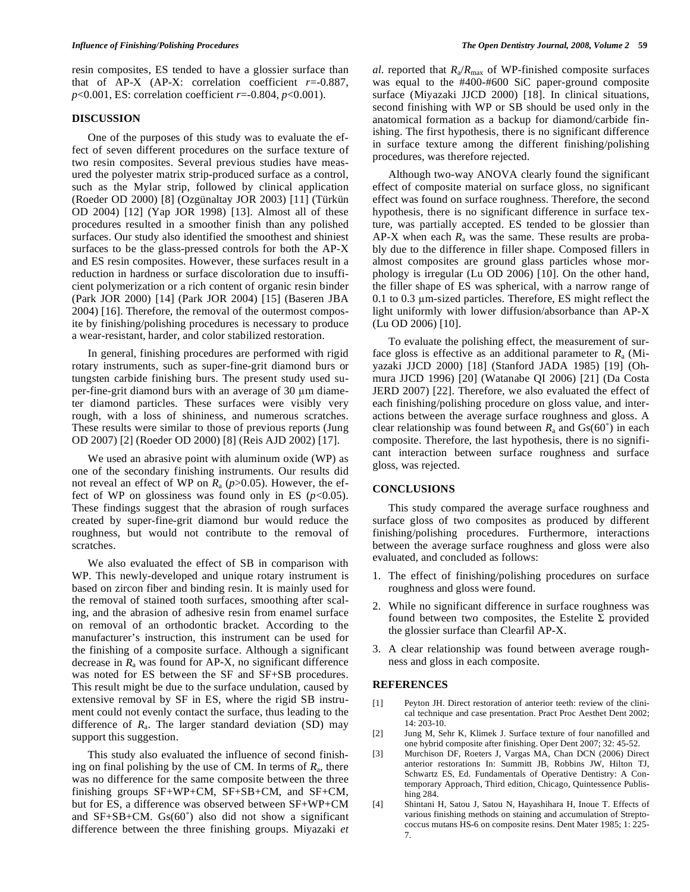resin composites, ES tended to have a glossier surface than that of AP-X (AP-X: correlation coefficient  $r=0.887$ , *p*<0.001, ES: correlation coefficient *r*=-0.804, *p*<0.001).

### **DISCUSSION**

 One of the purposes of this study was to evaluate the effect of seven different procedures on the surface texture of two resin composites. Several previous studies have measured the polyester matrix strip-produced surface as a control, such as the Mylar strip, followed by clinical application (Roeder OD 2000) [8] (Ozgünaltay JOR 2003) [11] (Türkün OD 2004) [12] (Yap JOR 1998) [13]. Almost all of these procedures resulted in a smoother finish than any polished surfaces. Our study also identified the smoothest and shiniest surfaces to be the glass-pressed controls for both the AP-X and ES resin composites. However, these surfaces result in a reduction in hardness or surface discoloration due to insufficient polymerization or a rich content of organic resin binder (Park JOR 2000) [14] (Park JOR 2004) [15] (Baseren JBA 2004) [16]. Therefore, the removal of the outermost composite by finishing/polishing procedures is necessary to produce a wear-resistant, harder, and color stabilized restoration.

 In general, finishing procedures are performed with rigid rotary instruments, such as super-fine-grit diamond burs or tungsten carbide finishing burs. The present study used super-fine-grit diamond burs with an average of  $30 \mu m$  diameter diamond particles. These surfaces were visibly very rough, with a loss of shininess, and numerous scratches. These results were similar to those of previous reports (Jung OD 2007) [2] (Roeder OD 2000) [8] (Reis AJD 2002) [17].

 We used an abrasive point with aluminum oxide (WP) as one of the secondary finishing instruments. Our results did not reveal an effect of WP on  $R_a$  ( $p$ >0.05). However, the effect of WP on glossiness was found only in ES  $(p<0.05)$ . These findings suggest that the abrasion of rough surfaces created by super-fine-grit diamond bur would reduce the roughness, but would not contribute to the removal of scratches.

 We also evaluated the effect of SB in comparison with WP. This newly-developed and unique rotary instrument is based on zircon fiber and binding resin. It is mainly used for the removal of stained tooth surfaces, smoothing after scaling, and the abrasion of adhesive resin from enamel surface on removal of an orthodontic bracket. According to the manufacturer's instruction, this instrument can be used for the finishing of a composite surface. Although a significant decrease in  $R_a$  was found for  $AP-X$ , no significant difference was noted for ES between the SF and SF+SB procedures. This result might be due to the surface undulation, caused by extensive removal by SF in ES, where the rigid SB instrument could not evenly contact the surface, thus leading to the difference of  $R_a$ . The larger standard deviation (SD) may support this suggestion.

 This study also evaluated the influence of second finishing on final polishing by the use of CM. In terms of *R*a, there was no difference for the same composite between the three finishing groups SF+WP+CM, SF+SB+CM, and SF+CM, but for ES, a difference was observed between SF+WP+CM and  $SF + SB + CM$ .  $Gs(60^\circ)$  also did not show a significant difference between the three finishing groups. Miyazaki *et*  *al*. reported that  $R_a/R_{\text{max}}$  of WP-finished composite surfaces was equal to the #400-#600 SiC paper-ground composite surface (Miyazaki JJCD 2000) [18]. In clinical situations, second finishing with WP or SB should be used only in the anatomical formation as a backup for diamond/carbide finishing. The first hypothesis, there is no significant difference in surface texture among the different finishing/polishing procedures, was therefore rejected.

 Although two-way ANOVA clearly found the significant effect of composite material on surface gloss, no significant effect was found on surface roughness. Therefore, the second hypothesis, there is no significant difference in surface texture, was partially accepted. ES tended to be glossier than AP-X when each  $R_a$  was the same. These results are probably due to the difference in filler shape. Composed fillers in almost composites are ground glass particles whose morphology is irregular (Lu OD 2006) [10]. On the other hand, the filler shape of ES was spherical, with a narrow range of 0.1 to 0.3 µm-sized particles. Therefore, ES might reflect the light uniformly with lower diffusion/absorbance than AP-X (Lu OD 2006) [10].

 To evaluate the polishing effect, the measurement of surface gloss is effective as an additional parameter to  $R_a$  (Miyazaki JJCD 2000) [18] (Stanford JADA 1985) [19] (Ohmura JJCD 1996) [20] (Watanabe QI 2006) [21] (Da Costa JERD 2007) [22]. Therefore, we also evaluated the effect of each finishing/polishing procedure on gloss value, and interactions between the average surface roughness and gloss. A clear relationship was found between  $R_a$  and  $Gs(60^\circ)$  in each composite. Therefore, the last hypothesis, there is no significant interaction between surface roughness and surface gloss, was rejected.

# **CONCLUSIONS**

 This study compared the average surface roughness and surface gloss of two composites as produced by different finishing/polishing procedures. Furthermore, interactions between the average surface roughness and gloss were also evaluated, and concluded as follows:

- 1. The effect of finishing/polishing procedures on surface roughness and gloss were found.
- 2. While no significant difference in surface roughness was found between two composites, the Estelite  $\Sigma$  provided the glossier surface than Clearfil AP-X.
- 3. A clear relationship was found between average roughness and gloss in each composite.

#### **REFERENCES**

- [1] Peyton JH. Direct restoration of anterior teeth: review of the clinical technique and case presentation. Pract Proc Aesthet Dent 2002;  $14: 203-10.$
- [2] Jung M, Sehr K, Klimek J. Surface texture of four nanofilled and one hybrid composite after finishing. Oper Dent 2007; 32: 45-52.
- [3] Murchison DF, Roeters J, Vargas MA, Chan DCN (2006) Direct anterior restorations In: Summitt JB, Robbins JW, Hilton TJ, Schwartz ES, Ed. Fundamentals of Operative Dentistry: A Contemporary Approach, Third edition, Chicago, Quintessence Publishing 284.
- [4] Shintani H, Satou J, Satou N, Hayashihara H, Inoue T. Effects of various finishing methods on staining and accumulation of Streptococcus mutans HS-6 on composite resins. Dent Mater 1985; 1: 225- 7.